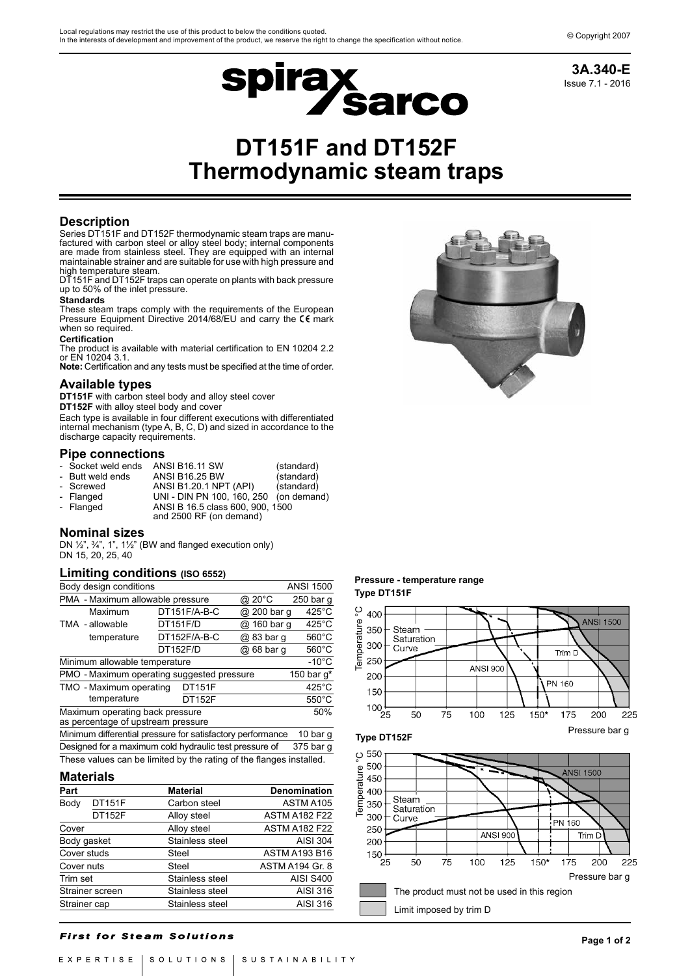

Issue 7.1 - 2016 **3A.340-E**

# **DT151F and DT152F Thermodynamic steam traps**

## **Description**

Series DT151F and DT152F thermodynamic steam traps are manufactured with carbon steel or alloy steel body; internal components are made from stainless steel. They are equipped with an internal maintainable strainer and are suitable for use with high pressure and high temperature steam.

DT151F and DT152F traps can operate on plants with back pressure up to 50% of the inlet pressure.

#### **Standards**

These steam traps comply with the requirements of the European Pressure Equipment Directive 2014/68/EU and carry the  $\epsilon \epsilon$  mark when so required.

## **Certification**

The product is available with material certification to EN 10204 2.2 or EN 10204 3.1.

**Note:** Certification and any tests must be specified at the time of order.

## **Available types**

**DT151F** with carbon steel body and alloy steel cover

**DT152F** with alloy steel body and cover

Each type is available in four different executions with differentiated internal mechanism (type A, B, C, D) and sized in accordance to the discharge capacity requirements.

## **Pipe connections**

| - Socket weld ends | <b>ANSI B16.11 SW</b>                                       | (standard) |
|--------------------|-------------------------------------------------------------|------------|
| - Butt weld ends   | <b>ANSI B16.25 BW</b>                                       | (standard) |
| - Screwed          | ANSI B1.20.1 NPT (API)                                      | (standard) |
| - Flanged          | UNI - DIN PN 100, 160, 250 (on demand)                      |            |
| - Flanged          | ANSI B 16.5 class 600, 900, 1500<br>and 2500 RF (on demand) |            |

## **Nominal sizes**

DN ½", ¾", 1", 1½" (BW and flanged execution only) DN 15, 20, 25, 40

## **Limiting conditions (ISO 6552)**

| Body design conditions<br><b>ANSI 1500</b>                                   |                                                                     |          |               |  |                 |                 |  |
|------------------------------------------------------------------------------|---------------------------------------------------------------------|----------|---------------|--|-----------------|-----------------|--|
|                                                                              |                                                                     |          |               |  |                 |                 |  |
|                                                                              | PMA - Maximum allowable pressure                                    |          |               |  | @ 20°C          | 250 bar g       |  |
|                                                                              | Maximum                                                             |          | DT151F/A-B-C  |  | @ 200 bar q     | $425^{\circ}$ C |  |
|                                                                              | TMA - allowable                                                     | DT151F/D |               |  | @ 160 bar q     | $425^{\circ}$ C |  |
|                                                                              | temperature                                                         |          | DT152F/A-B-C  |  | @ 83 bar q      | $560^{\circ}$ C |  |
|                                                                              |                                                                     | DT152F/D |               |  | @ 68 bar q      | $560^{\circ}$ C |  |
|                                                                              | Minimum allowable temperature                                       |          |               |  |                 | $-10^{\circ}$ C |  |
| PMO - Maximum operating suggested pressure<br>150 bar q*                     |                                                                     |          |               |  |                 |                 |  |
| TMO - Maximum operating<br><b>DT151F</b>                                     |                                                                     |          |               |  | $425^{\circ}$ C |                 |  |
|                                                                              | temperature                                                         |          | <b>DT152F</b> |  |                 | $550^{\circ}$ C |  |
| 50%<br>Maximum operating back pressure<br>as percentage of upstream pressure |                                                                     |          |               |  |                 |                 |  |
| Minimum differential pressure for satisfactory performance<br>10 bar g       |                                                                     |          |               |  |                 |                 |  |
|                                                                              | Designed for a maximum cold hydraulic test pressure of              |          |               |  |                 | 375 bar q       |  |
|                                                                              | These values can be limited by the rating of the flanges installed. |          |               |  |                 |                 |  |
|                                                                              |                                                                     |          |               |  |                 |                 |  |

## **Materials**

| Part         |                 | <b>Material</b> | <b>Denomination</b>    |  |
|--------------|-----------------|-----------------|------------------------|--|
| Body         | <b>DT151F</b>   | Carbon steel    | ASTM A105              |  |
|              | <b>DT152F</b>   | Alloy steel     | <b>ASTM A182 F22</b>   |  |
| Cover        |                 | Alloy steel     | <b>ASTM A182 F22</b>   |  |
| Body gasket  |                 | Stainless steel | <b>AISI 304</b>        |  |
| Cover studs  |                 | Steel           | <b>ASTM A193 B16</b>   |  |
| Cover nuts   |                 | <b>Steel</b>    | <b>ASTM A194 Gr. 8</b> |  |
| Trim set     |                 | Stainless steel | <b>AISI S400</b>       |  |
|              | Strainer screen | Stainless steel | AISI 316               |  |
| Strainer cap |                 | Stainless steel | AISI 316               |  |

## **Pressure - temperature range Type DT151F**



## **First for Steam Solutions**